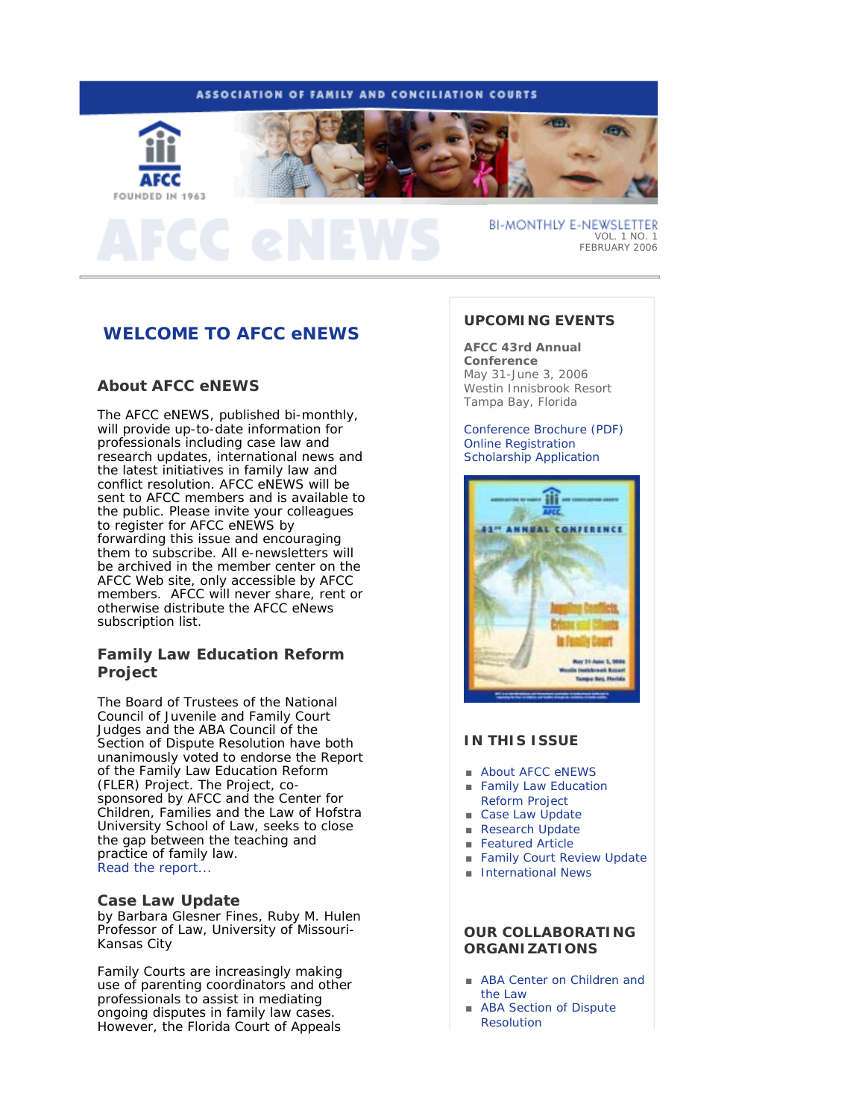## ASSOCIATION OF FAMILY AND CONCILIATION COURTS





**BI-MONTHLY E-NEWSLETTER** VOL. 1 NO. 1 FEBRUARY 2006

# **WELCOME TO AFCC eNEWS**

## **About** *AFCC eNEWS*

The *AFCC eNEWS*, published bi-monthly, will provide up-to-date information for professionals including case law and research updates, international news and the latest initiatives in family law and conflict resolution. *AFCC eNEWS* will be sent to AFCC members and is available to the public. Please invite your colleagues to register for *AFCC eNEWS* by forwarding this issue and encouraging them to subscribe. All e-newsletters will be archived in the member center on the AFCC Web site, only accessible by AFCC members. AFCC will never share, rent or otherwise distribute the *AFCC eNews*  subscription list.

## **Family Law Education Reform Project**

The Board of Trustees of the National Council of Juvenile and Family Court Judges and the ABA Council of the Section of Dispute Resolution have both unanimously voted to endorse the Report of the Family Law Education Reform (FLER) Project. The Project, cosponsored by AFCC and the Center for Children, Families and the Law of Hofstra University School of Law, seeks to close the gap between the teaching and practice of family law. Read the report...

## **Case Law Update**

*by Barbara Glesner Fines, Ruby M. Hulen Professor of Law, University of Missouri-Kansas City* 

Family Courts are increasingly making use of parenting coordinators and other professionals to assist in mediating ongoing disputes in family law cases. However, the Florida Court of Appeals

## **UPCOMING EVENTS**

**AFCC 43rd Annual Conference** May 31-June 3, 2006 Westin Innisbrook Resort Tampa Bay, Florida

Conference Brochure (PDF) Online Registration Scholarship Application



## **IN THIS ISSUE**

- About AFCC eNEWS
- Family Law Education Reform Project
- Case Law Update ■ Research Update
- Featured Article
- 
- Family Court Review Update
- International News

## **OUR COLLABORATING ORGANIZATIONS**

- ABA Center on Children and the Law
- ABA Section of Dispute **Resolution**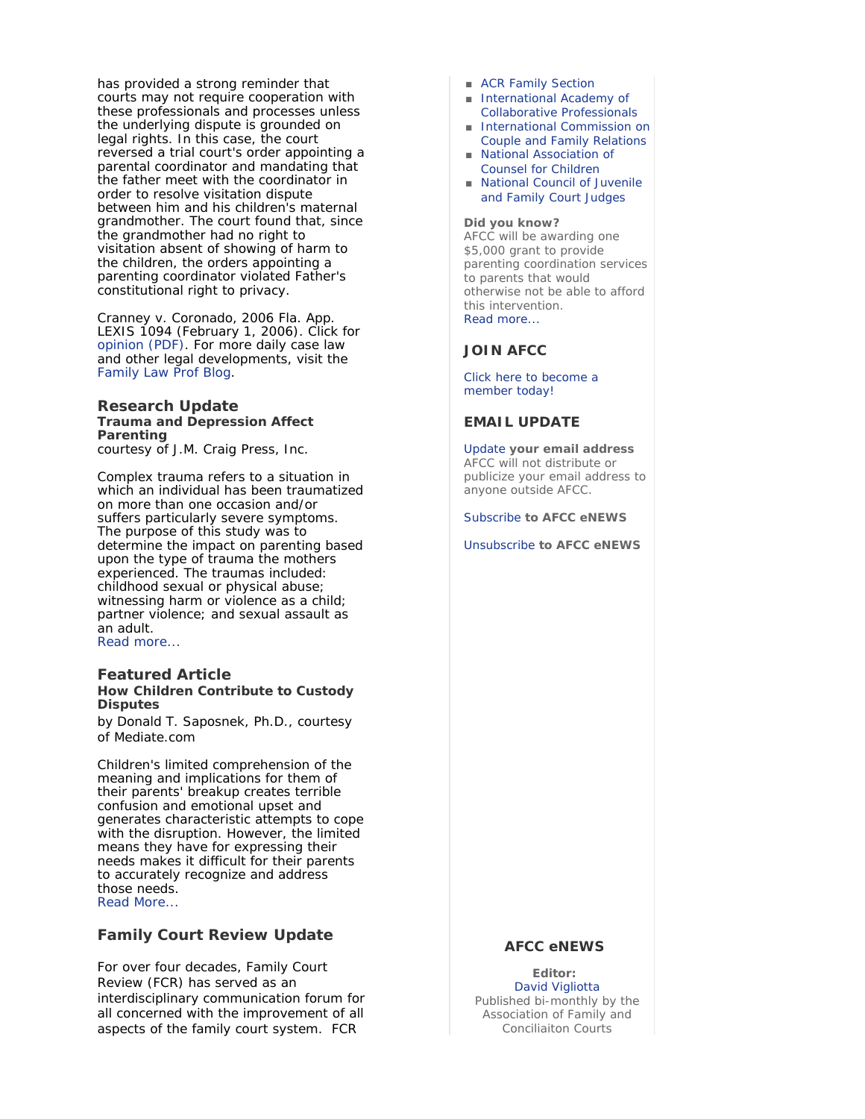has provided a strong reminder that courts may not require cooperation with these professionals and processes unless the underlying dispute is grounded on legal rights. In this case, the court reversed a trial court's order appointing a parental coordinator and mandating that the father meet with the coordinator in order to resolve visitation dispute between him and his children's maternal grandmother. The court found that, since the grandmother had no right to visitation absent of showing of harm to the children, the orders appointing a parenting coordinator violated Father's constitutional right to privacy.

Cranney v. Coronado, 2006 Fla. App. LEXIS 1094 (February 1, 2006). Click for opinion (PDF). For more daily case law and other legal developments, visit the Family Law Prof Blog.

### **Research Update Trauma and Depression Affect Parenting** *courtesy of J.M. Craig Press, Inc.*

Complex trauma refers to a situation in which an individual has been traumatized on more than one occasion and/or suffers particularly severe symptoms. The purpose of this study was to determine the impact on parenting based upon the type of trauma the mothers experienced. The traumas included: childhood sexual or physical abuse; witnessing harm or violence as a child; partner violence; and sexual assault as an adult. Read more...

### **Featured Article How Children Contribute to Custody Disputes**

*by Donald T. Saposnek, Ph.D., courtesy of Mediate.com*

Children's limited comprehension of the meaning and implications for them of their parents' breakup creates terrible confusion and emotional upset and generates characteristic attempts to cope with the disruption. However, the limited means they have for expressing their needs makes it difficult for their parents to accurately recognize and address those needs. Read More...

# **Family Court Review Update**

For over four decades, *Family Court Review (FCR)* has served as an interdisciplinary communication forum for all concerned with the improvement of all aspects of the family court system. *FCR*

- ACR Family Section
- International Academy of Collaborative Professionals
- International Commission on Couple and Family Relations
- National Association of Counsel for Children
- National Council of Juvenile and Family Court Judges

#### **Did you know?**

AFCC will be awarding one \$5,000 grant to provide parenting coordination services to parents that would otherwise not be able to afford this intervention. Read more...

### **JOIN AFCC**

Click here to become a member today!

### **EMAIL UPDATE**

Update **your email address** AFCC will not distribute or publicize your email address to anyone outside AFCC.

Subscribe **to** *AFCC eNEWS*

Unsubscribe **to** *AFCC eNEWS*

### **AFCC eNEWS**

**Editor:** David Vigliotta Published bi-monthly by the Association of Family and Conciliaiton Courts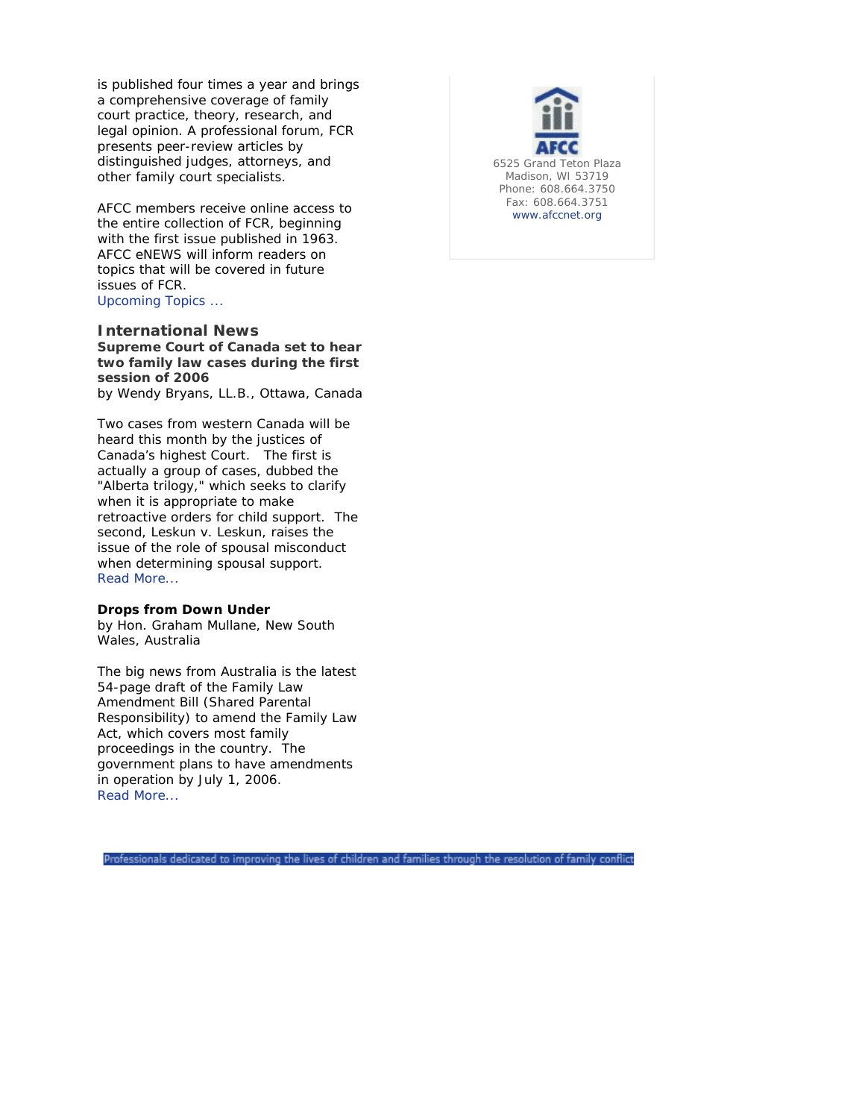is published four times a year and brings a comprehensive coverage of family court practice, theory, research, and legal opinion. A professional forum, *FCR* presents peer-review articles by distinguished judges, attorneys, and other family court specialists.

AFCC members receive online access to the entire collection of *FCR*, beginning with the first issue published in 1963. *AFCC eNEWS* will inform readers on topics that will be covered in future issues of *FCR*. Upcoming Topics ...

### **International News**

**Supreme Court of Canada set to hear two family law cases during the first session of 2006**

*by Wendy Bryans, LL.B., Ottawa, Canada* 

Two cases from western Canada will be heard this month by the justices of Canada's highest Court. The first is actually a group of cases, dubbed the "Alberta trilogy," which seeks to clarify when it is appropriate to make retroactive orders for child support. The second, Leskun v. Leskun, raises the issue of the role of spousal misconduct when determining spousal support. Read More...

### **Drops from Down Under**

*by Hon. Graham Mullane, New South Wales, Australia*

The big news from Australia is the latest 54-page draft of the Family Law Amendment Bill (Shared Parental Responsibility) to amend the Family Law Act, which covers most family proceedings in the country. The government plans to have amendments in operation by July 1, 2006. Read More...



Professionals dedicated to improving the lives of children and families through the resolution of family conflict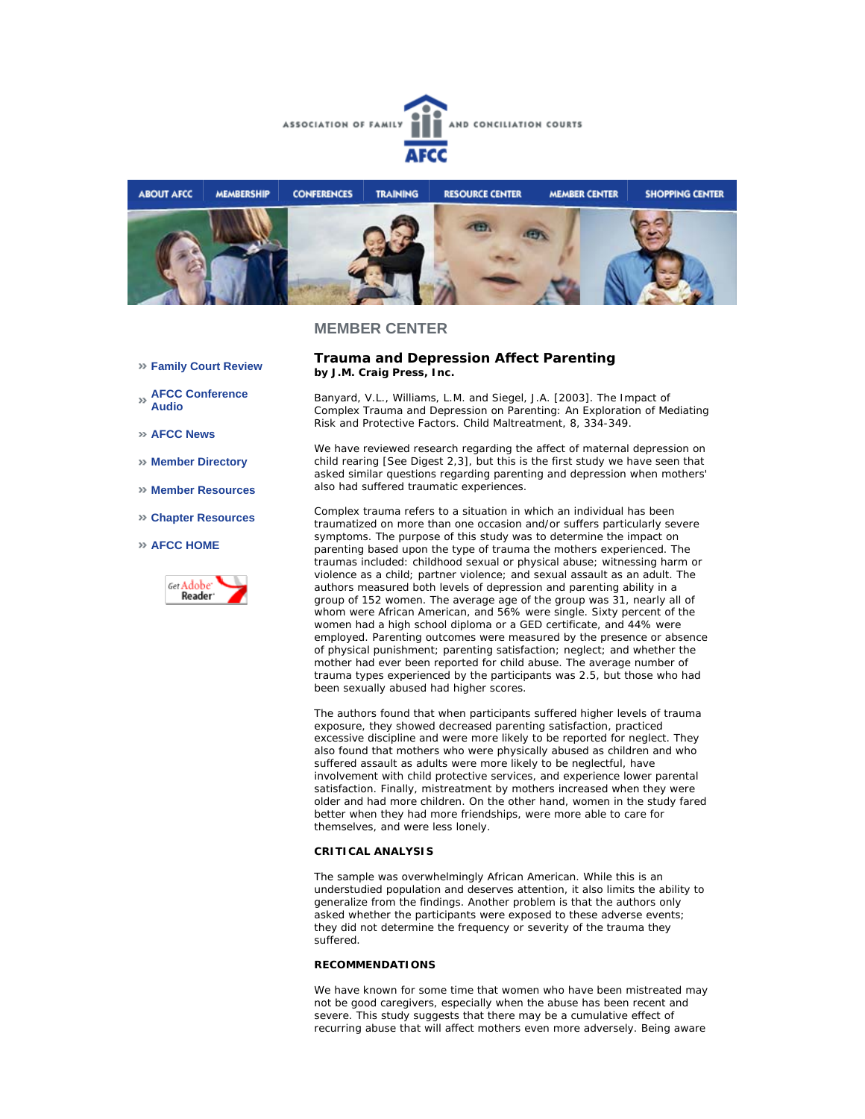



### **MEMBER CENTER**

- **Family Court Review**
- **AFCC Conference Audio**
- **AFCC News**
- **Member Directory**
- **Member Resources**
- **Chapter Resources**

#### **AFCC HOME**



### **Trauma and Depression Affect Parenting**  *by J.M. Craig Press, Inc.*

Banyard, V.L., Williams, L.M. and Siegel, J.A. [2003]. The Impact of Complex Trauma and Depression on Parenting: An Exploration of Mediating Risk and Protective Factors. Child Maltreatment, 8, 334-349.

We have reviewed research regarding the affect of maternal depression on child rearing [See Digest 2,3], but this is the first study we have seen that asked similar questions regarding parenting and depression when mothers' also had suffered traumatic experiences.

Complex trauma refers to a situation in which an individual has been traumatized on more than one occasion and/or suffers particularly severe symptoms. The purpose of this study was to determine the impact on parenting based upon the type of trauma the mothers experienced. The traumas included: childhood sexual or physical abuse; witnessing harm or violence as a child; partner violence; and sexual assault as an adult. The authors measured both levels of depression and parenting ability in a group of 152 women. The average age of the group was 31, nearly all of whom were African American, and 56% were single. Sixty percent of the women had a high school diploma or a GED certificate, and 44% were employed. Parenting outcomes were measured by the presence or absence of physical punishment; parenting satisfaction; neglect; and whether the mother had ever been reported for child abuse. The average number of trauma types experienced by the participants was 2.5, but those who had been sexually abused had higher scores.

The authors found that when participants suffered higher levels of trauma exposure, they showed decreased parenting satisfaction, practiced excessive discipline and were more likely to be reported for neglect. They also found that mothers who were physically abused as children and who suffered assault as adults were more likely to be neglectful, have involvement with child protective services, and experience lower parental satisfaction. Finally, mistreatment by mothers increased when they were older and had more children. On the other hand, women in the study fared better when they had more friendships, were more able to care for themselves, and were less lonely.

#### **CRITICAL ANALYSIS**

The sample was overwhelmingly African American. While this is an understudied population and deserves attention, it also limits the ability to generalize from the findings. Another problem is that the authors only asked whether the participants were exposed to these adverse events; they did not determine the frequency or severity of the trauma they suffered.

### **RECOMMENDATIONS**

We have known for some time that women who have been mistreated may not be good caregivers, especially when the abuse has been recent and severe. This study suggests that there may be a cumulative effect of recurring abuse that will affect mothers even more adversely. Being aware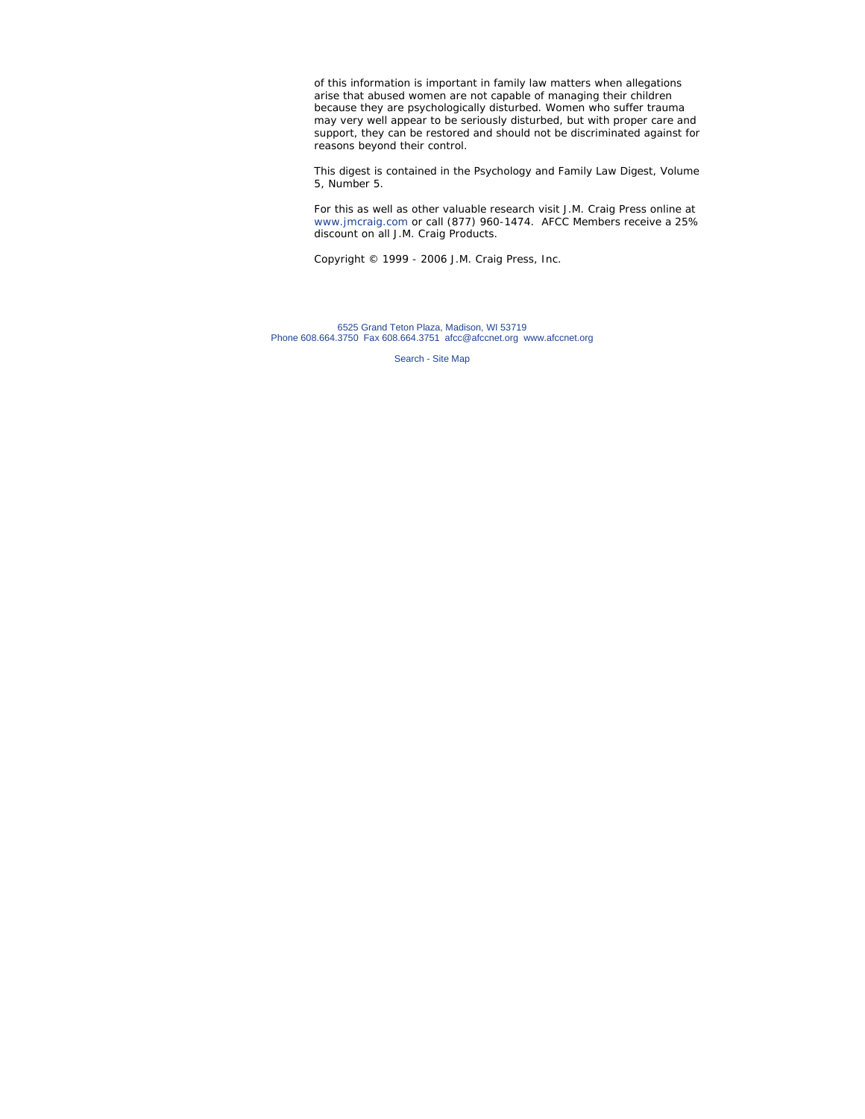of this information is important in family law matters when allegations arise that abused women are not capable of managing their children because they are psychologically disturbed. Women who suffer trauma may very well appear to be seriously disturbed, but with proper care and support, they can be restored and should not be discriminated against for reasons beyond their control.

This digest is contained in the Psychology and Family Law Digest, Volume 5, Number 5.

For this as well as other valuable research visit J.M. Craig Press online at www.jmcraig.com or call (877) 960-1474. AFCC Members receive a 25% discount on all J.M. Craig Products.

*Copyright © 1999 - 2006 J.M. Craig Press, Inc.*

6525 Grand Teton Plaza, Madison, WI 53719 Phone 608.664.3750 Fax 608.664.3751 afcc@afccnet.org www.afccnet.org

Search - Site Map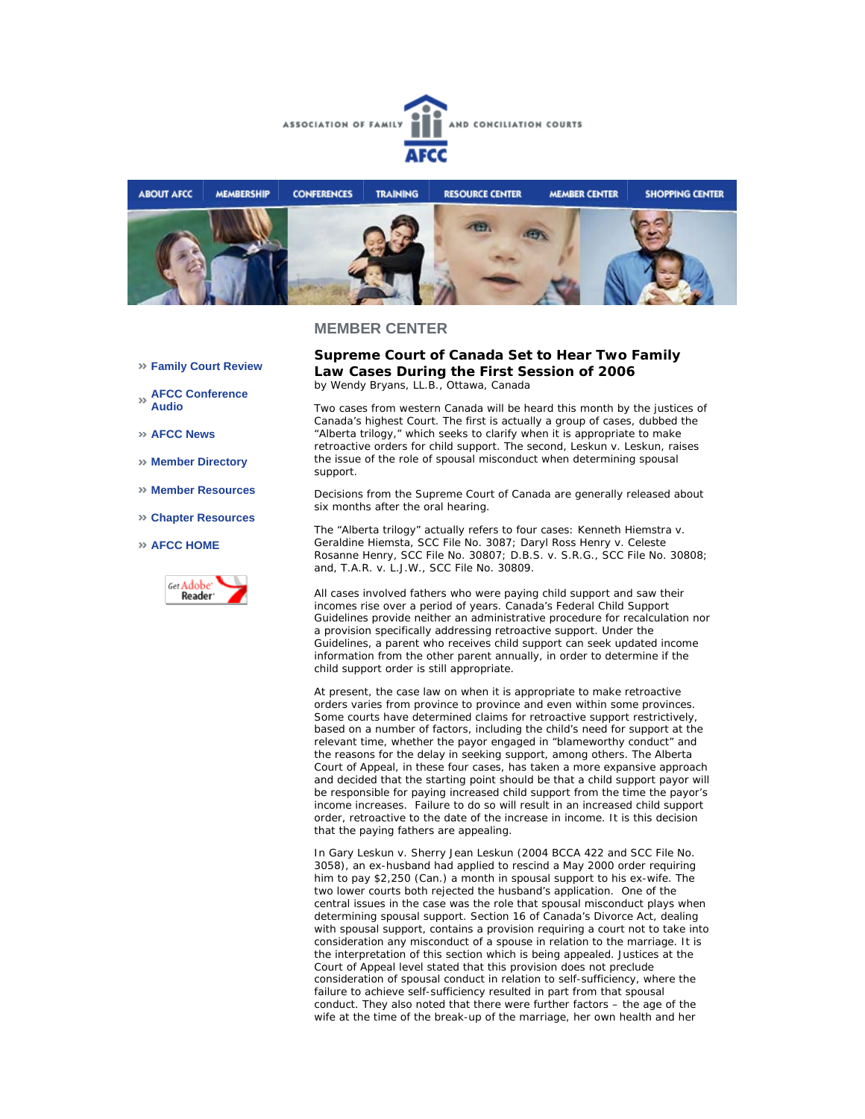



### **MEMBER CENTER**

- **Family Court Review**
- **AFCC Conference Audio**
- **AFCC News**
- **Member Directory**
- **Member Resources**
- **Chapter Resources**

#### **AFCC HOME**



**Supreme Court of Canada Set to Hear Two Family Law Cases During the First Session of 2006** *by Wendy Bryans, LL.B., Ottawa, Canada* 

Two cases from western Canada will be heard this month by the justices of Canada's highest Court. The first is actually a group of cases, dubbed the "Alberta trilogy," which seeks to clarify when it is appropriate to make retroactive orders for child support. The second, Leskun v. Leskun, raises the issue of the role of spousal misconduct when determining spousal support.

Decisions from the Supreme Court of Canada are generally released about six months after the oral hearing.

The "Alberta trilogy" actually refers to four cases: Kenneth Hiemstra v. Geraldine Hiemsta, SCC File No. 3087; Daryl Ross Henry v. Celeste Rosanne Henry, SCC File No. 30807; D.B.S. v. S.R.G., SCC File No. 30808; and, T.A.R. v. L.J.W., SCC File No. 30809.

All cases involved fathers who were paying child support and saw their incomes rise over a period of years. Canada's *Federal Child Support Guidelines* provide neither an administrative procedure for recalculation nor a provision specifically addressing retroactive support. Under the Guidelines, a parent who receives child support can seek updated income information from the other parent annually, in order to determine if the child support order is still appropriate.

At present, the case law on when it is appropriate to make retroactive orders varies from province to province and even within some provinces. Some courts have determined claims for retroactive support restrictively, based on a number of factors, including the child's need for support at the relevant time, whether the payor engaged in "blameworthy conduct" and the reasons for the delay in seeking support, among others. The Alberta Court of Appeal, in these four cases, has taken a more expansive approach and decided that the starting point should be that a child support payor will be responsible for paying increased child support from the time the payor's income increases. Failure to do so will result in an increased child support order, retroactive to the date of the increase in income. It is this decision that the paying fathers are appealing.

In Gary Leskun v. Sherry Jean Leskun (2004 BCCA 422 and SCC File No. 3058), an ex-husband had applied to rescind a May 2000 order requiring him to pay \$2,250 (Can.) a month in spousal support to his ex-wife. The two lower courts both rejected the husband's application. One of the central issues in the case was the role that spousal misconduct plays when determining spousal support. Section 16 of Canada's Divorce Act, dealing with spousal support, contains a provision requiring a court *not* to take into consideration any misconduct of a spouse in relation to the marriage. It is the interpretation of this section which is being appealed. Justices at the Court of Appeal level stated that this provision does not preclude consideration of spousal conduct in relation to self-sufficiency, where the failure to achieve self-sufficiency resulted in part from that spousal conduct. They also noted that there were further factors – the age of the wife at the time of the break-up of the marriage, her own health and her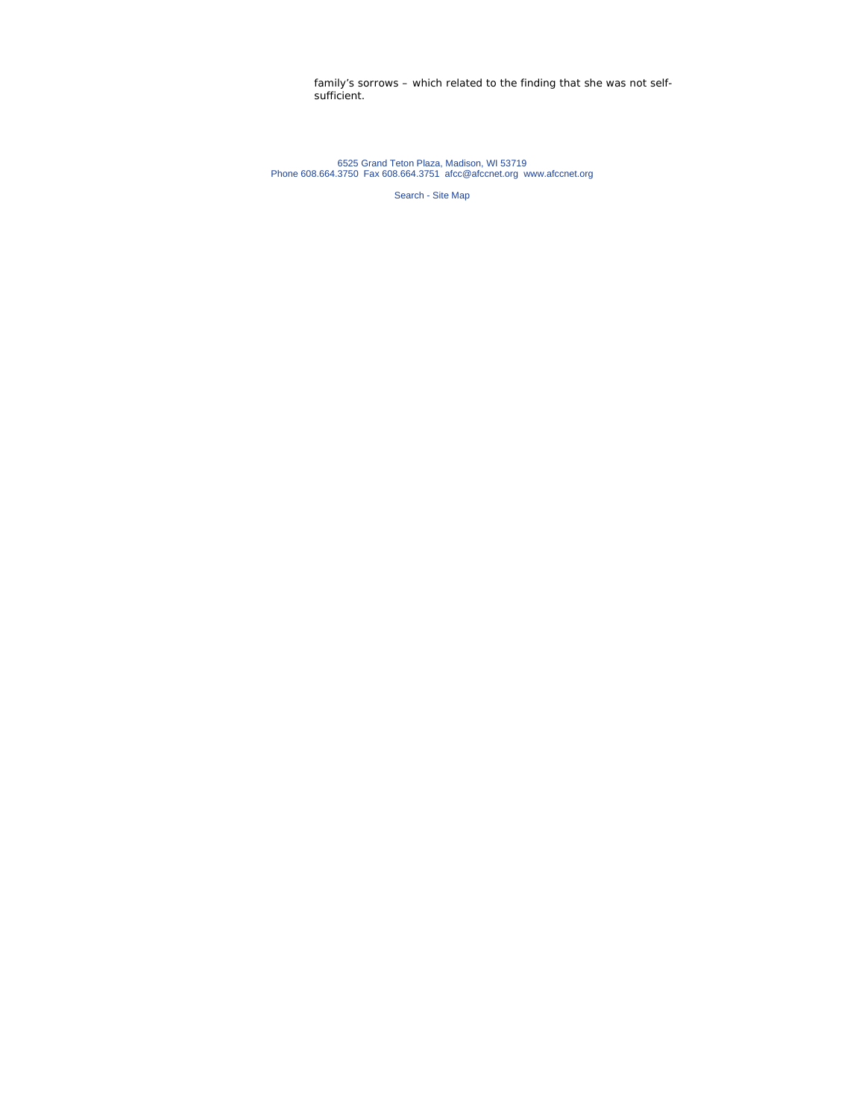family's sorrows – which related to the finding that she was not selfsufficient.

6525 Grand Teton Plaza, Madison, WI 53719 Phone 608.664.3750 Fax 608.664.3751 afcc@afccnet.org www.afccnet.org

Search - Site Map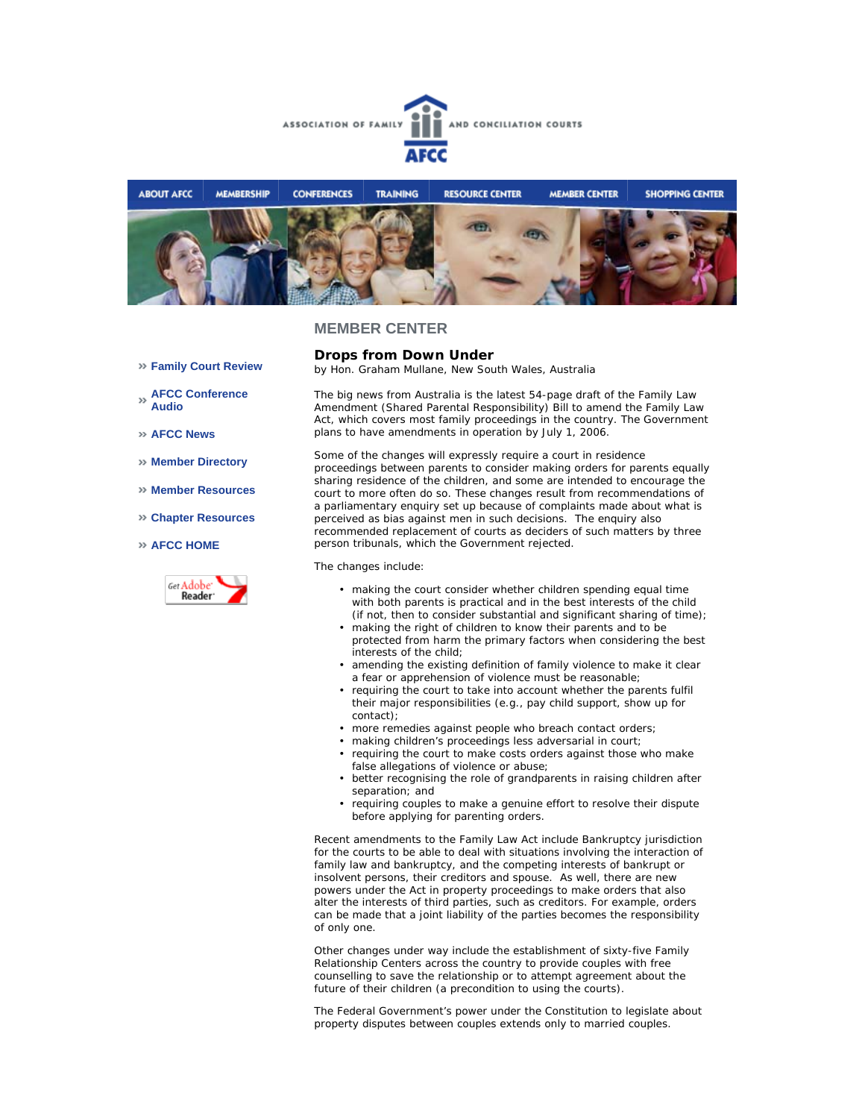



### **MEMBER CENTER**

- **Family Court Review**
- **AFCC Conference Audio**
- **AFCC News**
- **Member Directory**
- **Member Resources**
- **Chapter Resources**
- **AFCC HOME**



**Drops from Down Under** *by Hon. Graham Mullane, New South Wales, Australia*

The big news from Australia is the latest 54-page draft of the Family Law Amendment (Shared Parental Responsibility) Bill to amend the Family Law Act, which covers most family proceedings in the country. The Government plans to have amendments in operation by July 1, 2006.

Some of the changes will expressly require a court in residence proceedings between parents to consider making orders for parents equally sharing residence of the children, and some are intended to encourage the court to more often do so. These changes result from recommendations of a parliamentary enquiry set up because of complaints made about what is perceived as bias against men in such decisions. The enquiry also recommended replacement of courts as deciders of such matters by three person tribunals, which the Government rejected.

The changes include:

- making the court consider whether children spending equal time with both parents is practical and in the best interests of the child (if not, then to consider substantial and significant sharing of time);
- making the right of children to know their parents and to be protected from harm the primary factors when considering the best interests of the child; •
- amending the existing definition of family violence to make it clear a fear or apprehension of violence must be reasonable;
- requiring the court to take into account whether the parents fulfil their major responsibilities (e.g., pay child support, show up for contact); •
- more remedies against people who breach contact orders;
- making children's proceedings less adversarial in court;
- requiring the court to make costs orders against those who make false allegations of violence or abuse; •
- better recognising the role of grandparents in raising children after separation; and
- requiring couples to make a genuine effort to resolve their dispute before applying for parenting orders. •

Recent amendments to the Family Law Act include Bankruptcy jurisdiction for the courts to be able to deal with situations involving the interaction of family law and bankruptcy, and the competing interests of bankrupt or insolvent persons, their creditors and spouse. As well, there are new powers under the Act in property proceedings to make orders that also alter the interests of third parties, such as creditors. For example, orders can be made that a joint liability of the parties becomes the responsibility of only one.

Other changes under way include the establishment of sixty-five Family Relationship Centers across the country to provide couples with free counselling to save the relationship or to attempt agreement about the future of their children (a precondition to using the courts).

The Federal Government's power under the Constitution to legislate about property disputes between couples extends only to married couples.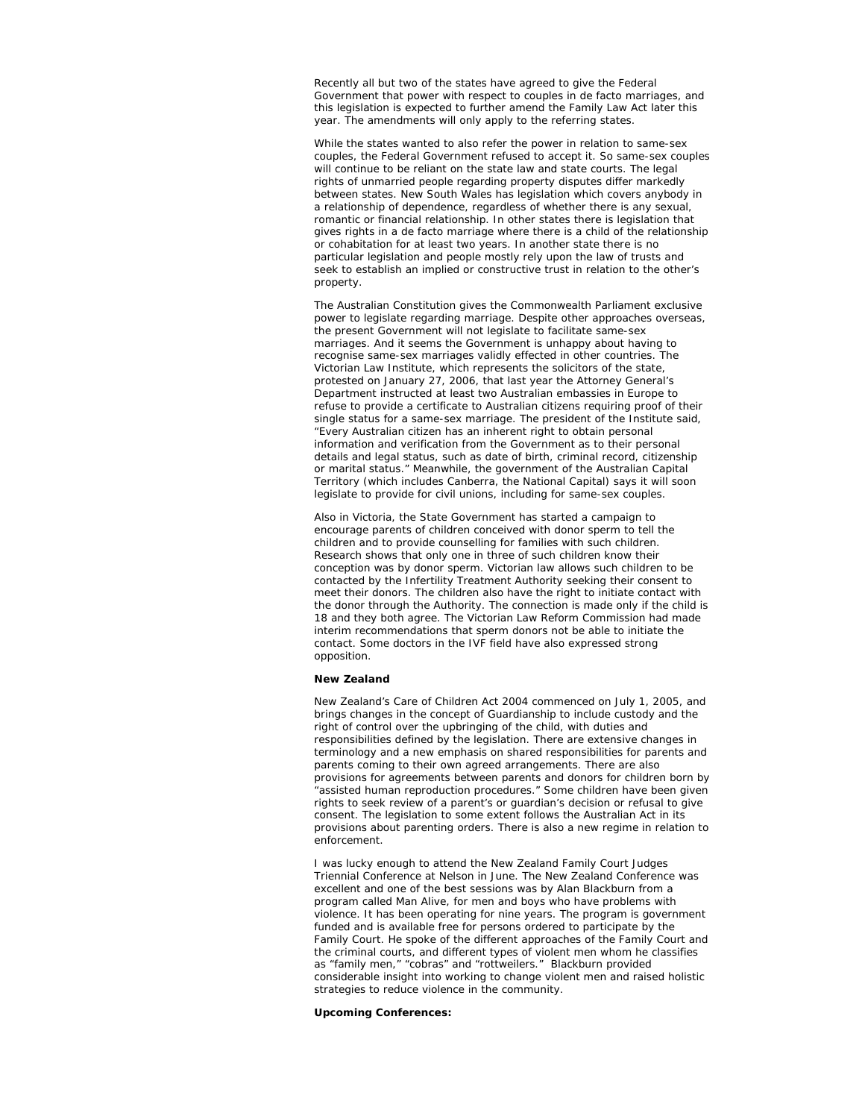Recently all but two of the states have agreed to give the Federal Government that power with respect to couples in de facto marriages, and this legislation is expected to further amend the Family Law Act later this year. The amendments will only apply to the referring states.

While the states wanted to also refer the power in relation to same-sex couples, the Federal Government refused to accept it. So same-sex couples will continue to be reliant on the state law and state courts. The legal rights of unmarried people regarding property disputes differ markedly between states. New South Wales has legislation which covers anybody in a relationship of dependence, regardless of whether there is any sexual, romantic or financial relationship. In other states there is legislation that gives rights in a de facto marriage where there is a child of the relationship or cohabitation for at least two years. In another state there is no particular legislation and people mostly rely upon the law of trusts and seek to establish an implied or constructive trust in relation to the other's property.

The Australian Constitution gives the Commonwealth Parliament exclusive power to legislate regarding marriage. Despite other approaches overseas, the present Government will not legislate to facilitate same-sex marriages. And it seems the Government is unhappy about having to recognise same-sex marriages validly effected in other countries. The Victorian Law Institute, which represents the solicitors of the state, protested on January 27, 2006, that last year the Attorney General's Department instructed at least two Australian embassies in Europe to refuse to provide a certificate to Australian citizens requiring proof of their single status for a same-sex marriage. The president of the Institute said, "Every Australian citizen has an inherent right to obtain personal information and verification from the Government as to their personal details and legal status, such as date of birth, criminal record, citizenship or marital status." Meanwhile, the government of the Australian Capital Territory (which includes Canberra, the National Capital) says it will soon legislate to provide for civil unions, including for same-sex couples.

Also in Victoria, the State Government has started a campaign to encourage parents of children conceived with donor sperm to tell the children and to provide counselling for families with such children. Research shows that only one in three of such children know their conception was by donor sperm. Victorian law allows such children to be contacted by the Infertility Treatment Authority seeking their consent to meet their donors. The children also have the right to initiate contact with the donor through the Authority. The connection is made only if the child is 18 and they both agree. The Victorian Law Reform Commission had made interim recommendations that sperm donors not be able to initiate the contact. Some doctors in the IVF field have also expressed strong opposition.

#### **New Zealand**

New Zealand's Care of Children Act 2004 commenced on July 1, 2005, and brings changes in the concept of Guardianship to include custody and the right of control over the upbringing of the child, with duties and responsibilities defined by the legislation. There are extensive changes in terminology and a new emphasis on shared responsibilities for parents and parents coming to their own agreed arrangements. There are also provisions for agreements between parents and donors for children born by "assisted human reproduction procedures." Some children have been given rights to seek review of a parent's or guardian's decision or refusal to give consent. The legislation to some extent follows the Australian Act in its provisions about parenting orders. There is also a new regime in relation to enforcement.

I was lucky enough to attend the New Zealand Family Court Judges Triennial Conference at Nelson in June. The New Zealand Conference was excellent and one of the best sessions was by Alan Blackburn from a program called *Man Alive*, for men and boys who have problems with violence. It has been operating for nine years. The program is government funded and is available free for persons ordered to participate by the Family Court. He spoke of the different approaches of the Family Court and the criminal courts, and different types of violent men whom he classifies as "family men," "cobras" and "rottweilers." Blackburn provided considerable insight into working to change violent men and raised holistic strategies to reduce violence in the community.

#### **Upcoming Conferences:**